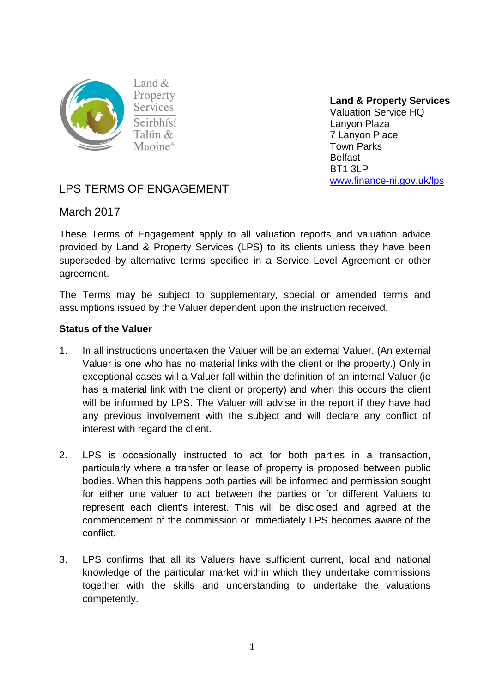

Property **Services** Seirbhísí Talún & Maoine<sup>®</sup>

**Land & Property Services**  Valuation Service HQ Lanyon Plaza 7 Lanyon Place Town Parks Belfast BT1 3LP [www.finance-ni.gov.uk/lps](http://www.finance-ni.gov.uk/lps)

# LPS TERMS OF ENGAGEMENT

March 2017

These Terms of Engagement apply to all valuation reports and valuation advice provided by Land & Property Services (LPS) to its clients unless they have been superseded by alternative terms specified in a Service Level Agreement or other agreement.

The Terms may be subject to supplementary, special or amended terms and assumptions issued by the Valuer dependent upon the instruction received.

# **Status of the Valuer**

- 1. In all instructions undertaken the Valuer will be an external Valuer. (An external Valuer is one who has no material links with the client or the property.) Only in exceptional cases will a Valuer fall within the definition of an internal Valuer (ie has a material link with the client or property) and when this occurs the client will be informed by LPS. The Valuer will advise in the report if they have had any previous involvement with the subject and will declare any conflict of interest with regard the client.
- 2. LPS is occasionally instructed to act for both parties in a transaction, particularly where a transfer or lease of property is proposed between public bodies. When this happens both parties will be informed and permission sought for either one valuer to act between the parties or for different Valuers to represent each client's interest. This will be disclosed and agreed at the commencement of the commission or immediately LPS becomes aware of the conflict.
- 3. LPS confirms that all its Valuers have sufficient current, local and national knowledge of the particular market within which they undertake commissions together with the skills and understanding to undertake the valuations competently.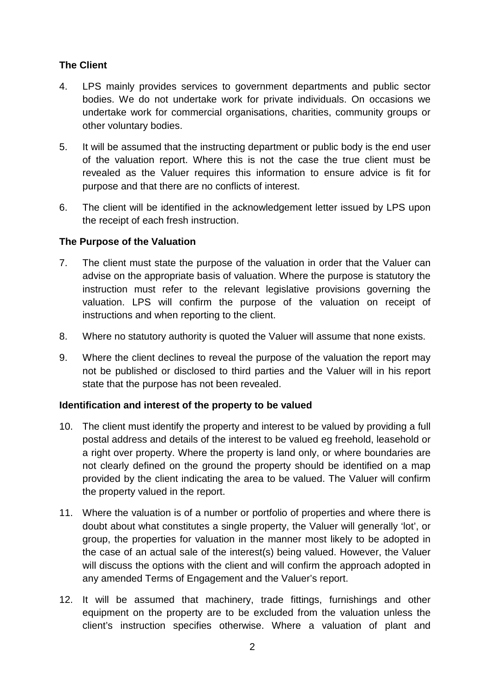# **The Client**

- 4. LPS mainly provides services to government departments and public sector bodies. We do not undertake work for private individuals. On occasions we undertake work for commercial organisations, charities, community groups or other voluntary bodies.
- 5. It will be assumed that the instructing department or public body is the end user of the valuation report. Where this is not the case the true client must be revealed as the Valuer requires this information to ensure advice is fit for purpose and that there are no conflicts of interest.
- 6. The client will be identified in the acknowledgement letter issued by LPS upon the receipt of each fresh instruction.

# **The Purpose of the Valuation**

- 7. The client must state the purpose of the valuation in order that the Valuer can advise on the appropriate basis of valuation. Where the purpose is statutory the instruction must refer to the relevant legislative provisions governing the valuation. LPS will confirm the purpose of the valuation on receipt of instructions and when reporting to the client.
- 8. Where no statutory authority is quoted the Valuer will assume that none exists.
- 9. Where the client declines to reveal the purpose of the valuation the report may not be published or disclosed to third parties and the Valuer will in his report state that the purpose has not been revealed.

# **Identification and interest of the property to be valued**

- 10. The client must identify the property and interest to be valued by providing a full postal address and details of the interest to be valued eg freehold, leasehold or a right over property. Where the property is land only, or where boundaries are not clearly defined on the ground the property should be identified on a map provided by the client indicating the area to be valued. The Valuer will confirm the property valued in the report.
- 11. Where the valuation is of a number or portfolio of properties and where there is doubt about what constitutes a single property, the Valuer will generally 'lot', or group, the properties for valuation in the manner most likely to be adopted in the case of an actual sale of the interest(s) being valued. However, the Valuer will discuss the options with the client and will confirm the approach adopted in any amended Terms of Engagement and the Valuer's report.
- 12. It will be assumed that machinery, trade fittings, furnishings and other equipment on the property are to be excluded from the valuation unless the client's instruction specifies otherwise. Where a valuation of plant and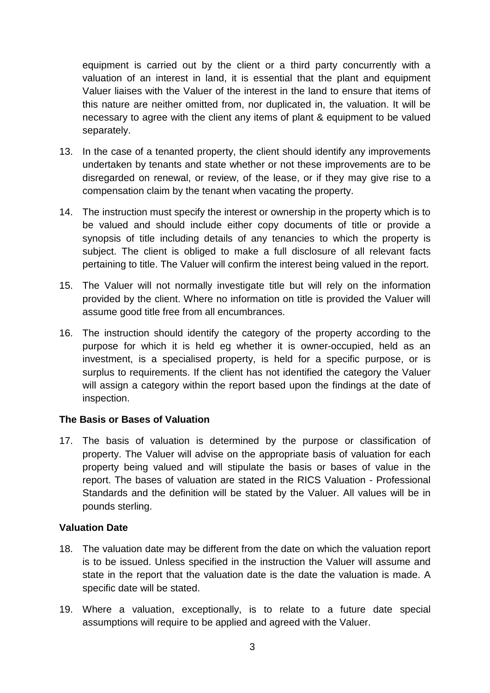equipment is carried out by the client or a third party concurrently with a valuation of an interest in land, it is essential that the plant and equipment Valuer liaises with the Valuer of the interest in the land to ensure that items of this nature are neither omitted from, nor duplicated in, the valuation. It will be necessary to agree with the client any items of plant & equipment to be valued separately.

- 13. In the case of a tenanted property, the client should identify any improvements undertaken by tenants and state whether or not these improvements are to be disregarded on renewal, or review, of the lease, or if they may give rise to a compensation claim by the tenant when vacating the property.
- 14. The instruction must specify the interest or ownership in the property which is to be valued and should include either copy documents of title or provide a synopsis of title including details of any tenancies to which the property is subject. The client is obliged to make a full disclosure of all relevant facts pertaining to title. The Valuer will confirm the interest being valued in the report.
- 15. The Valuer will not normally investigate title but will rely on the information provided by the client. Where no information on title is provided the Valuer will assume good title free from all encumbrances.
- 16. The instruction should identify the category of the property according to the purpose for which it is held eg whether it is owner-occupied, held as an investment, is a specialised property, is held for a specific purpose, or is surplus to requirements. If the client has not identified the category the Valuer will assign a category within the report based upon the findings at the date of inspection.

# **The Basis or Bases of Valuation**

17. The basis of valuation is determined by the purpose or classification of property. The Valuer will advise on the appropriate basis of valuation for each property being valued and will stipulate the basis or bases of value in the report. The bases of valuation are stated in the RICS Valuation - Professional Standards and the definition will be stated by the Valuer. All values will be in pounds sterling.

# **Valuation Date**

- 18. The valuation date may be different from the date on which the valuation report is to be issued. Unless specified in the instruction the Valuer will assume and state in the report that the valuation date is the date the valuation is made. A specific date will be stated.
- 19. Where a valuation, exceptionally, is to relate to a future date special assumptions will require to be applied and agreed with the Valuer.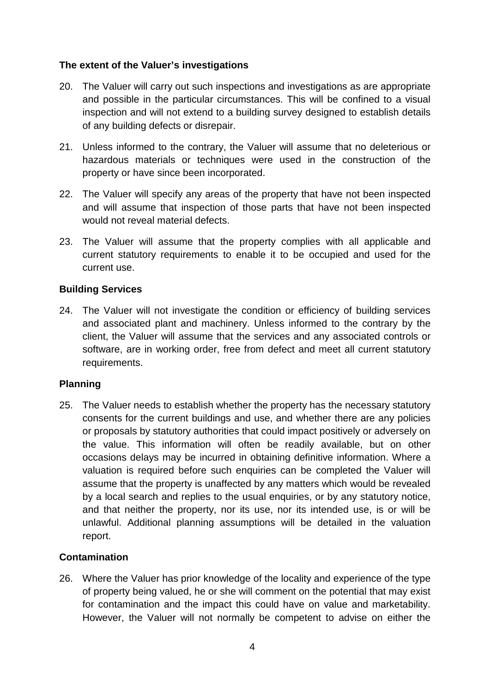# **The extent of the Valuer's investigations**

- 20. The Valuer will carry out such inspections and investigations as are appropriate and possible in the particular circumstances. This will be confined to a visual inspection and will not extend to a building survey designed to establish details of any building defects or disrepair.
- 21. Unless informed to the contrary, the Valuer will assume that no deleterious or hazardous materials or techniques were used in the construction of the property or have since been incorporated.
- 22. The Valuer will specify any areas of the property that have not been inspected and will assume that inspection of those parts that have not been inspected would not reveal material defects.
- 23. The Valuer will assume that the property complies with all applicable and current statutory requirements to enable it to be occupied and used for the current use.

# **Building Services**

24. The Valuer will not investigate the condition or efficiency of building services and associated plant and machinery. Unless informed to the contrary by the client, the Valuer will assume that the services and any associated controls or software, are in working order, free from defect and meet all current statutory requirements.

# **Planning**

25. The Valuer needs to establish whether the property has the necessary statutory consents for the current buildings and use, and whether there are any policies or proposals by statutory authorities that could impact positively or adversely on the value. This information will often be readily available, but on other occasions delays may be incurred in obtaining definitive information. Where a valuation is required before such enquiries can be completed the Valuer will assume that the property is unaffected by any matters which would be revealed by a local search and replies to the usual enquiries, or by any statutory notice, and that neither the property, nor its use, nor its intended use, is or will be unlawful. Additional planning assumptions will be detailed in the valuation report.

# **Contamination**

26. Where the Valuer has prior knowledge of the locality and experience of the type of property being valued, he or she will comment on the potential that may exist for contamination and the impact this could have on value and marketability. However, the Valuer will not normally be competent to advise on either the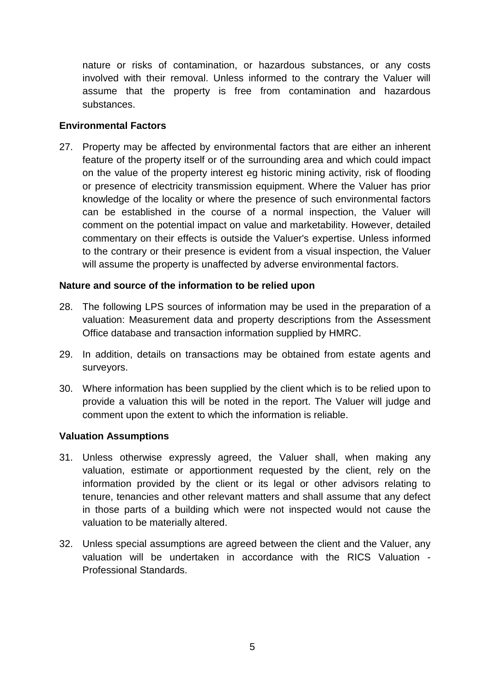nature or risks of contamination, or hazardous substances, or any costs involved with their removal. Unless informed to the contrary the Valuer will assume that the property is free from contamination and hazardous substances.

#### **Environmental Factors**

27. Property may be affected by environmental factors that are either an inherent feature of the property itself or of the surrounding area and which could impact on the value of the property interest eg historic mining activity, risk of flooding or presence of electricity transmission equipment. Where the Valuer has prior knowledge of the locality or where the presence of such environmental factors can be established in the course of a normal inspection, the Valuer will comment on the potential impact on value and marketability. However, detailed commentary on their effects is outside the Valuer's expertise. Unless informed to the contrary or their presence is evident from a visual inspection, the Valuer will assume the property is unaffected by adverse environmental factors.

#### **Nature and source of the information to be relied upon**

- 28. The following LPS sources of information may be used in the preparation of a valuation: Measurement data and property descriptions from the Assessment Office database and transaction information supplied by HMRC.
- 29. In addition, details on transactions may be obtained from estate agents and surveyors.
- 30. Where information has been supplied by the client which is to be relied upon to provide a valuation this will be noted in the report. The Valuer will judge and comment upon the extent to which the information is reliable.

#### **Valuation Assumptions**

- 31. Unless otherwise expressly agreed, the Valuer shall, when making any valuation, estimate or apportionment requested by the client, rely on the information provided by the client or its legal or other advisors relating to tenure, tenancies and other relevant matters and shall assume that any defect in those parts of a building which were not inspected would not cause the valuation to be materially altered.
- 32. Unless special assumptions are agreed between the client and the Valuer, any valuation will be undertaken in accordance with the RICS Valuation - Professional Standards.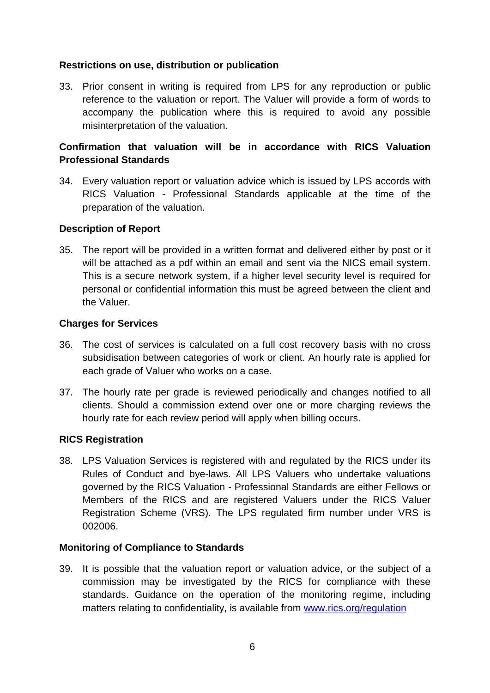#### **Restrictions on use, distribution or publication**

33. Prior consent in writing is required from LPS for any reproduction or public reference to the valuation or report. The Valuer will provide a form of words to accompany the publication where this is required to avoid any possible misinterpretation of the valuation.

# **Confirmation that valuation will be in accordance with RICS Valuation Professional Standards**

34. Every valuation report or valuation advice which is issued by LPS accords with RICS Valuation - Professional Standards applicable at the time of the preparation of the valuation.

#### **Description of Report**

35. The report will be provided in a written format and delivered either by post or it will be attached as a pdf within an email and sent via the NICS email system. This is a secure network system, if a higher level security level is required for personal or confidential information this must be agreed between the client and the Valuer.

#### **Charges for Services**

- 36. The cost of services is calculated on a full cost recovery basis with no cross subsidisation between categories of work or client. An hourly rate is applied for each grade of Valuer who works on a case.
- 37. The hourly rate per grade is reviewed periodically and changes notified to all clients. Should a commission extend over one or more charging reviews the hourly rate for each review period will apply when billing occurs.

# **RICS Registration**

38. LPS Valuation Services is registered with and regulated by the RICS under its Rules of Conduct and bye-laws. All LPS Valuers who undertake valuations governed by the RICS Valuation - Professional Standards are either Fellows or Members of the RICS and are registered Valuers under the RICS Valuer Registration Scheme (VRS). The LPS regulated firm number under VRS is 002006.

# **Monitoring of Compliance to Standards**

39. It is possible that the valuation report or valuation advice, or the subject of a commission may be investigated by the RICS for compliance with these standards. Guidance on the operation of the monitoring regime, including matters relating to confidentiality, is available from [www.rics.org/regulation](http://www.rics.org/regulation)